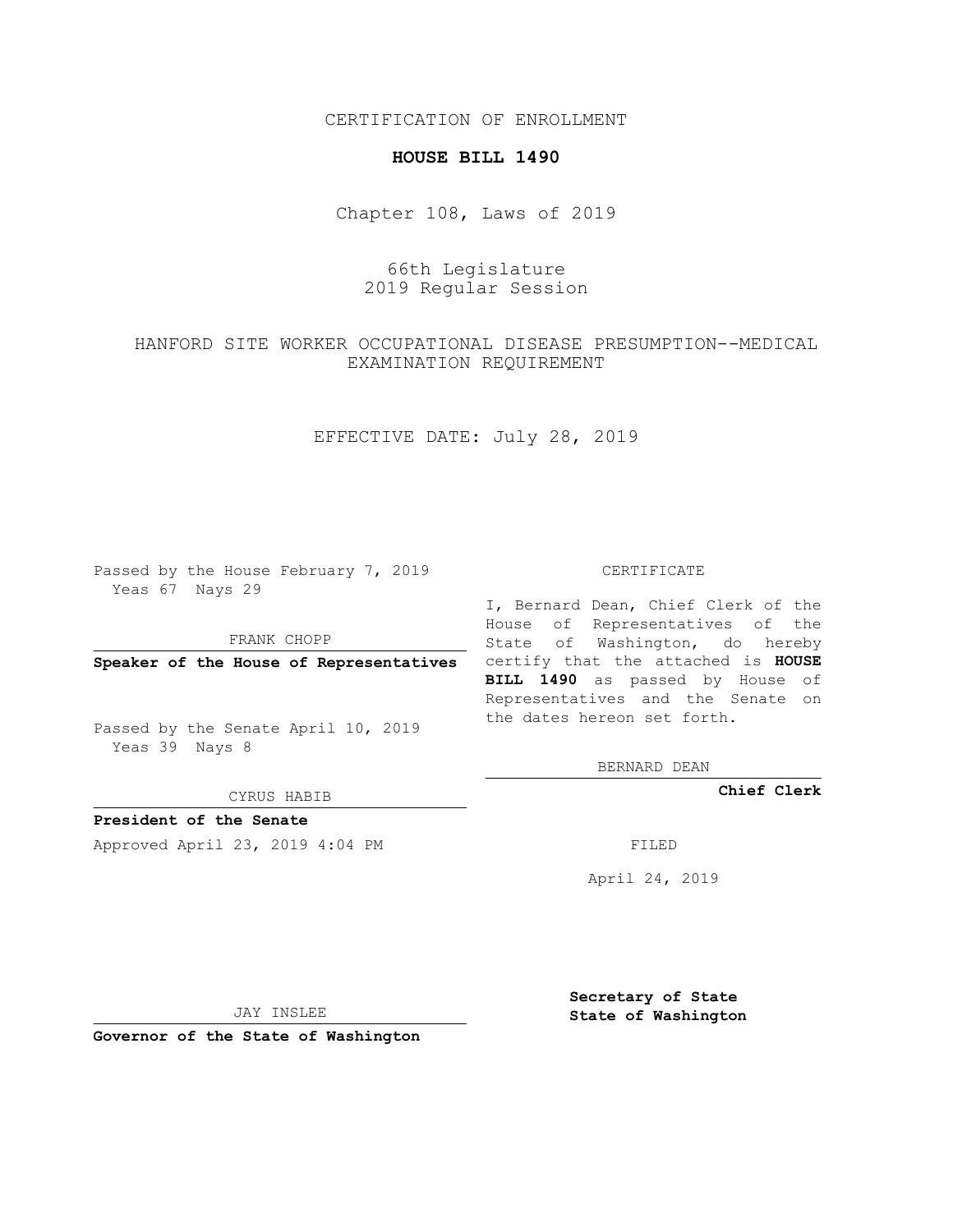CERTIFICATION OF ENROLLMENT

### **HOUSE BILL 1490**

Chapter 108, Laws of 2019

# 66th Legislature 2019 Regular Session

# HANFORD SITE WORKER OCCUPATIONAL DISEASE PRESUMPTION--MEDICAL EXAMINATION REQUIREMENT

## EFFECTIVE DATE: July 28, 2019

Passed by the House February 7, 2019 Yeas 67 Nays 29

FRANK CHOPP

Passed by the Senate April 10, 2019 Yeas 39 Nays 8

CYRUS HABIB

**President of the Senate**

Approved April 23, 2019 4:04 PM FILED

#### CERTIFICATE

**Speaker of the House of Representatives** certify that the attached is **HOUSE** I, Bernard Dean, Chief Clerk of the House of Representatives of the State of Washington, do hereby **BILL 1490** as passed by House of Representatives and the Senate on the dates hereon set forth.

BERNARD DEAN

**Chief Clerk**

April 24, 2019

JAY INSLEE

**Governor of the State of Washington**

**Secretary of State State of Washington**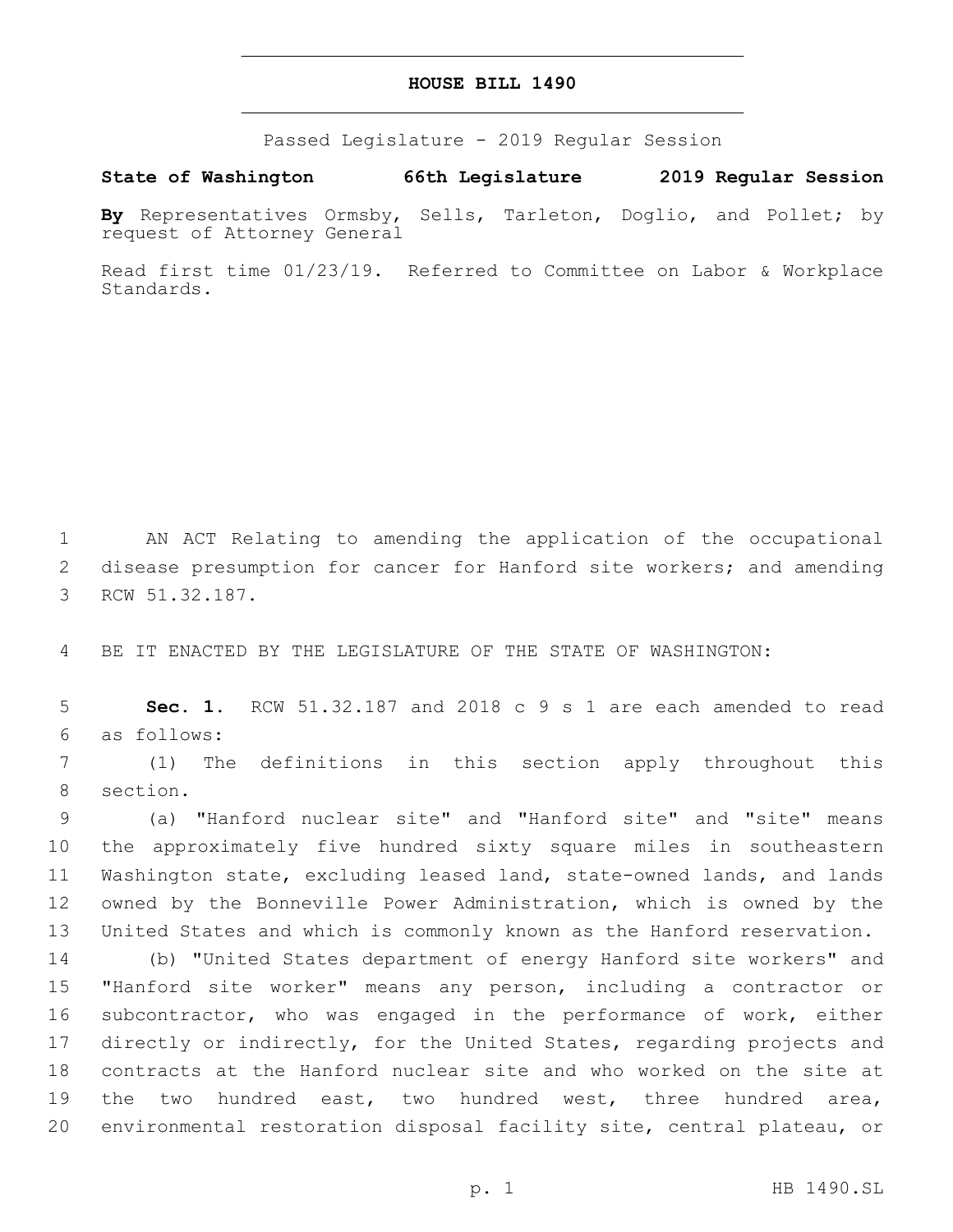## **HOUSE BILL 1490**

Passed Legislature - 2019 Regular Session

**State of Washington 66th Legislature 2019 Regular Session**

**By** Representatives Ormsby, Sells, Tarleton, Doglio, and Pollet; by request of Attorney General

Read first time 01/23/19. Referred to Committee on Labor & Workplace Standards.

1 AN ACT Relating to amending the application of the occupational 2 disease presumption for cancer for Hanford site workers; and amending 3 RCW 51.32.187.

4 BE IT ENACTED BY THE LEGISLATURE OF THE STATE OF WASHINGTON:

5 **Sec. 1.** RCW 51.32.187 and 2018 c 9 s 1 are each amended to read as follows:6

7 (1) The definitions in this section apply throughout this 8 section.

 (a) "Hanford nuclear site" and "Hanford site" and "site" means the approximately five hundred sixty square miles in southeastern Washington state, excluding leased land, state-owned lands, and lands owned by the Bonneville Power Administration, which is owned by the United States and which is commonly known as the Hanford reservation.

 (b) "United States department of energy Hanford site workers" and "Hanford site worker" means any person, including a contractor or 16 subcontractor, who was engaged in the performance of work, either directly or indirectly, for the United States, regarding projects and contracts at the Hanford nuclear site and who worked on the site at the two hundred east, two hundred west, three hundred area, environmental restoration disposal facility site, central plateau, or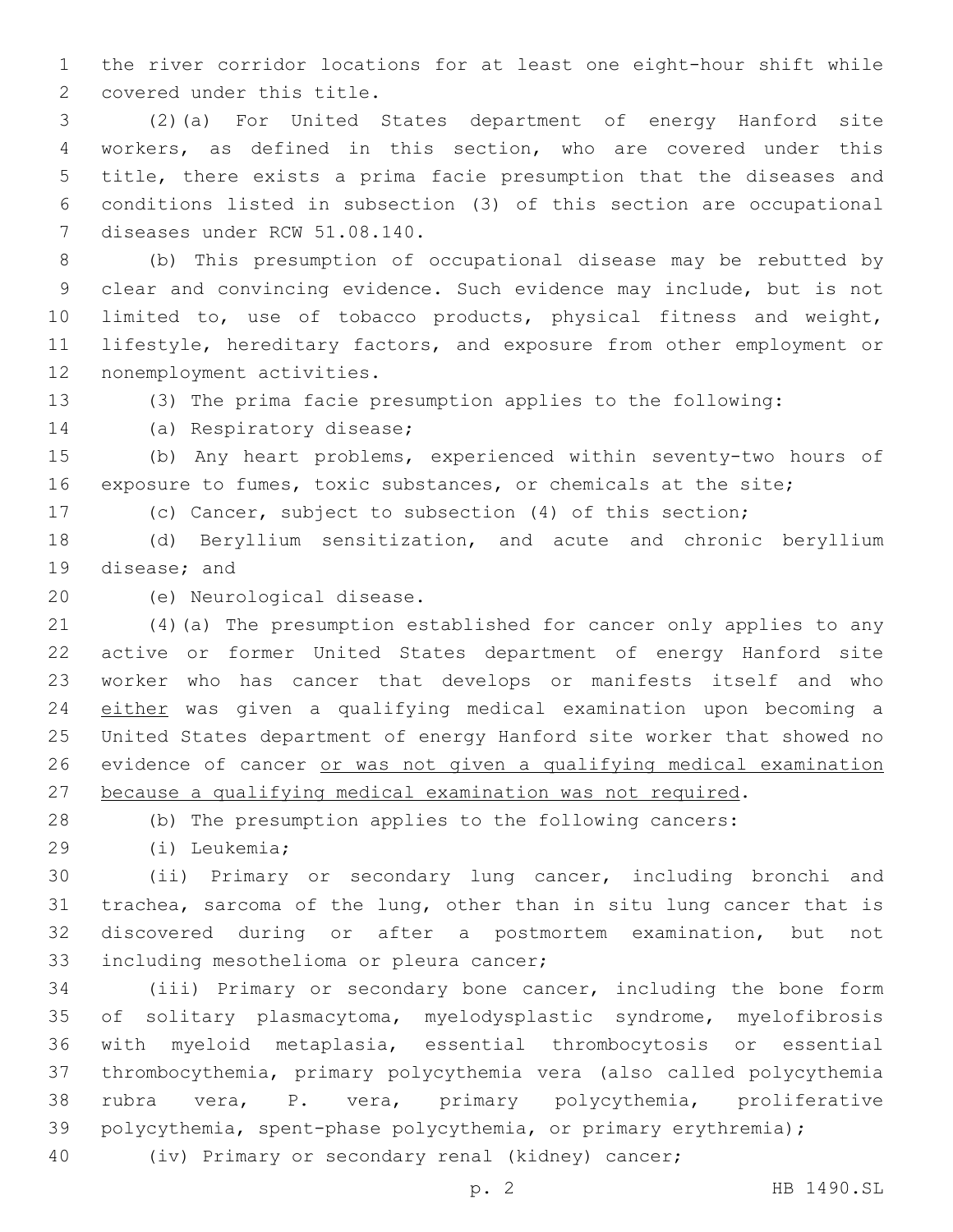the river corridor locations for at least one eight-hour shift while 2 covered under this title.

 (2)(a) For United States department of energy Hanford site workers, as defined in this section, who are covered under this title, there exists a prima facie presumption that the diseases and conditions listed in subsection (3) of this section are occupational 7 diseases under RCW 51.08.140.

 (b) This presumption of occupational disease may be rebutted by clear and convincing evidence. Such evidence may include, but is not limited to, use of tobacco products, physical fitness and weight, lifestyle, hereditary factors, and exposure from other employment or 12 nonemployment activities.

(3) The prima facie presumption applies to the following:

14 (a) Respiratory disease;

 (b) Any heart problems, experienced within seventy-two hours of exposure to fumes, toxic substances, or chemicals at the site;

(c) Cancer, subject to subsection (4) of this section;

 (d) Beryllium sensitization, and acute and chronic beryllium 19 disease; and

20 (e) Neurological disease.

 (4)(a) The presumption established for cancer only applies to any active or former United States department of energy Hanford site worker who has cancer that develops or manifests itself and who either was given a qualifying medical examination upon becoming a United States department of energy Hanford site worker that showed no evidence of cancer or was not given a qualifying medical examination because a qualifying medical examination was not required.

(b) The presumption applies to the following cancers:

(i) Leukemia;29

 (ii) Primary or secondary lung cancer, including bronchi and trachea, sarcoma of the lung, other than in situ lung cancer that is discovered during or after a postmortem examination, but not 33 including mesothelioma or pleura cancer;

 (iii) Primary or secondary bone cancer, including the bone form of solitary plasmacytoma, myelodysplastic syndrome, myelofibrosis with myeloid metaplasia, essential thrombocytosis or essential thrombocythemia, primary polycythemia vera (also called polycythemia rubra vera, P. vera, primary polycythemia, proliferative polycythemia, spent-phase polycythemia, or primary erythremia);

(iv) Primary or secondary renal (kidney) cancer;

p. 2 HB 1490.SL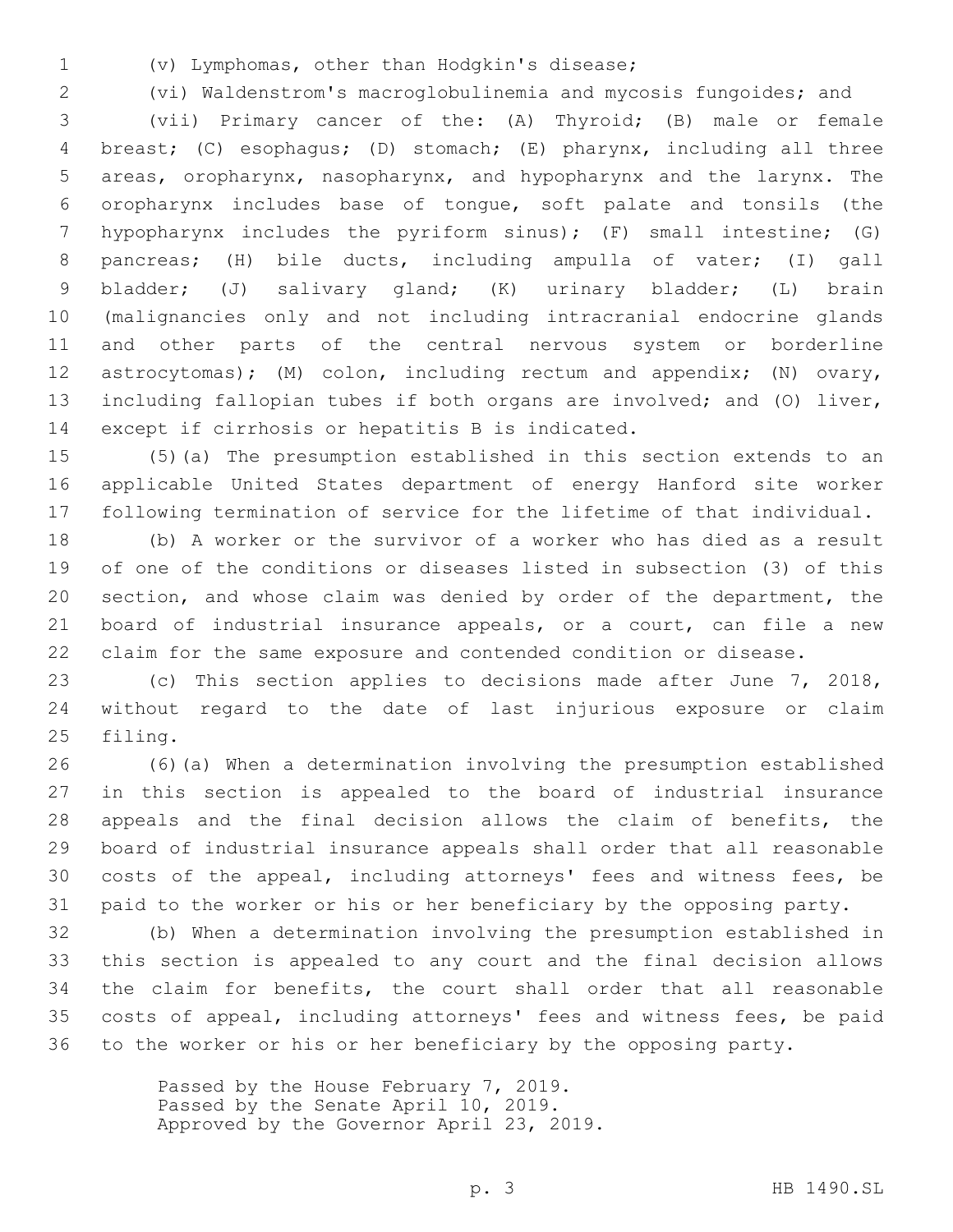(v) Lymphomas, other than Hodgkin's disease;1

 (vi) Waldenstrom's macroglobulinemia and mycosis fungoides; and (vii) Primary cancer of the: (A) Thyroid; (B) male or female breast; (C) esophagus; (D) stomach; (E) pharynx, including all three areas, oropharynx, nasopharynx, and hypopharynx and the larynx. The oropharynx includes base of tongue, soft palate and tonsils (the hypopharynx includes the pyriform sinus); (F) small intestine; (G) pancreas; (H) bile ducts, including ampulla of vater; (I) gall bladder; (J) salivary gland; (K) urinary bladder; (L) brain (malignancies only and not including intracranial endocrine glands and other parts of the central nervous system or borderline 12 astrocytomas); (M) colon, including rectum and appendix; (N) ovary, including fallopian tubes if both organs are involved; and (O) liver, 14 except if cirrhosis or hepatitis B is indicated.

 (5)(a) The presumption established in this section extends to an applicable United States department of energy Hanford site worker following termination of service for the lifetime of that individual.

 (b) A worker or the survivor of a worker who has died as a result of one of the conditions or diseases listed in subsection (3) of this section, and whose claim was denied by order of the department, the board of industrial insurance appeals, or a court, can file a new claim for the same exposure and contended condition or disease.

 (c) This section applies to decisions made after June 7, 2018, without regard to the date of last injurious exposure or claim 25 filing.

 (6)(a) When a determination involving the presumption established in this section is appealed to the board of industrial insurance appeals and the final decision allows the claim of benefits, the board of industrial insurance appeals shall order that all reasonable costs of the appeal, including attorneys' fees and witness fees, be paid to the worker or his or her beneficiary by the opposing party.

 (b) When a determination involving the presumption established in this section is appealed to any court and the final decision allows the claim for benefits, the court shall order that all reasonable costs of appeal, including attorneys' fees and witness fees, be paid to the worker or his or her beneficiary by the opposing party.

> Passed by the House February 7, 2019. Passed by the Senate April 10, 2019. Approved by the Governor April 23, 2019.